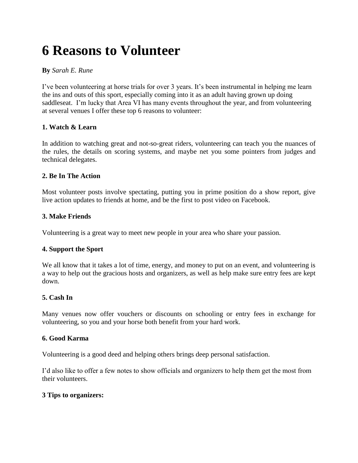# **6 Reasons to Volunteer**

## **By** *Sarah E. Rune*

I've been volunteering at horse trials for over 3 years. It's been instrumental in helping me learn the ins and outs of this sport, especially coming into it as an adult having grown up doing saddleseat. I'm lucky that Area VI has many events throughout the year, and from volunteering at several venues I offer these top 6 reasons to volunteer:

## **1. Watch & Learn**

In addition to watching great and not-so-great riders, volunteering can teach you the nuances of the rules, the details on scoring systems, and maybe net you some pointers from judges and technical delegates.

## **2. Be In The Action**

Most volunteer posts involve spectating, putting you in prime position do a show report, give live action updates to friends at home, and be the first to post video on Facebook.

## **3. Make Friends**

Volunteering is a great way to meet new people in your area who share your passion.

## **4. Support the Sport**

We all know that it takes a lot of time, energy, and money to put on an event, and volunteering is a way to help out the gracious hosts and organizers, as well as help make sure entry fees are kept down.

## **5. Cash In**

Many venues now offer vouchers or discounts on schooling or entry fees in exchange for volunteering, so you and your horse both benefit from your hard work.

## **6. Good Karma**

Volunteering is a good deed and helping others brings deep personal satisfaction.

I'd also like to offer a few notes to show officials and organizers to help them get the most from their volunteers.

## **3 Tips to organizers:**